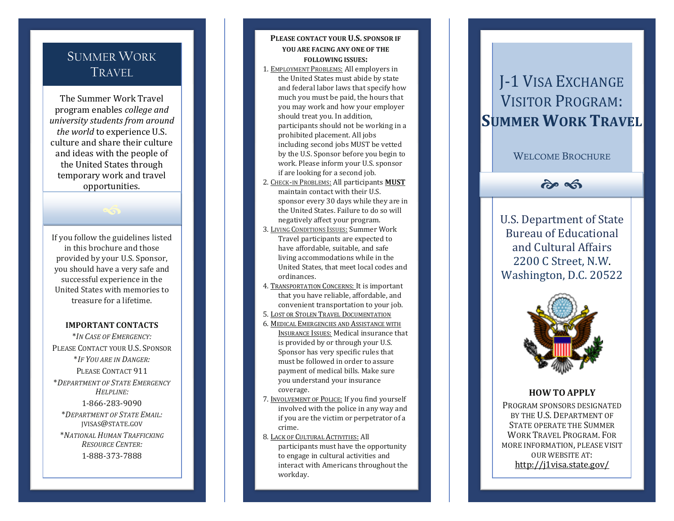## SUMMER WORK TRAVEL

The Summer Work Travel program enables *college and university students from around the world* to experience U.S. culture and share their culture and ideas with the people of the United States through temporary work and travel opportunities.

If you follow the guidelines listed in this brochure and those provided by your U.S. Sponsor, you should have a very safe and successful experience in the United States with memories to treasure for a lifetime.

 $\bigcirc$ 

#### **IMPORTANT CONTACTS**

\**IN CASE OF EMERGENCY:* PLEASE CONTACT YOUR U.S. SPONSOR \* *IF YOU ARE IN DANGER :* PLEASE CONTACT 911 \* *DEPARTMENT OF STATE EMERGENCY HELPLINE :* 1 -866 -283 -9090 \* *DEPARTMENT OF STATE EMAIL :* JVISAS @STATE.GOV \* *NATIONAL HUMAN TRAFFICKING* 

*RESOURCE CENTER :* 1 -888 -373 -7888

### **PLEASE CONTACT YOUR U.S. SPONSOR IF YOU ARE FACING ANY ONE OF THE FOLLOWING ISSUES :**

- 1. EMPLOYMENT PROBLEMS: All employers in the United States must abide by state and federal labor laws that specify how much you must be paid, the hours that you may work and how your employer should treat you. In addition, participants should not be working in a prohibited placement. All jobs including second jobs MUST be vetted by the U.S. Sponsor before you begin to work. Please inform your U.S. sponsor if are looking for a second job.
- 2. CHECK -IN PROBLEMS: All participants **MUST** maintain contact with their U.S. sponsor every 30 days while they are in the United States. Failure to do so will negatively affect your program.
- 3. LIVING CONDITIONS ISSUES: Summer Work Travel participants are expected to have affordable, suitable , and safe living accommodations while in the United States, that meet local codes and ordinances.
- 4. TRANSPORTATION CONCERNS: It is important that you have reliable, affordable, and convenient transportation to your job.
- 5. LOST OR STOLEN TRAVEL DOCUMENTATION
- 6. MEDICAL EMERGENCIES AND ASSISTANCE WITH **INSURANCE ISSUES:** Medical insurance that is provided by or through your U.S. Sponsor has very specific rules that must be followed in order to assure payment of medical bills. Make sure you understand your insurance coverage.
- 7. INVOLVEMENT OF POLICE: If you find yourself involved with the police in any way and if you are the victim or perpetrator of a crime.
- 8. LACK OF CULTURAL ACTIVITIES: All participants must have the opportunity to engage in cultural activities and

interact with Americans throughout the workday.

# J-1 VISA EXCHANGE VISITOR PROGRAM: **SUMMER WORK TRAVEL**

WELCOME BROCHURE

## $\hat{\sigma}$

U.S. Department of State Bureau of Educational and Cultural Affairs 2200 C Street, N.W. Washington, D.C. 20522



### **HOW TO APPLY**

PROGRAM SPONSORS DESIGNATED BY THE U.S. DEPARTMENT OF STATE OPERATE THE SUMMER WORK TRAVEL PROGRAM. FOR MORE INFORMATION , PLEASE VISIT OUR WEBSITE AT: [http://j1visa.state.gov/](http://j1visa.state.gov/sponsors/current/)